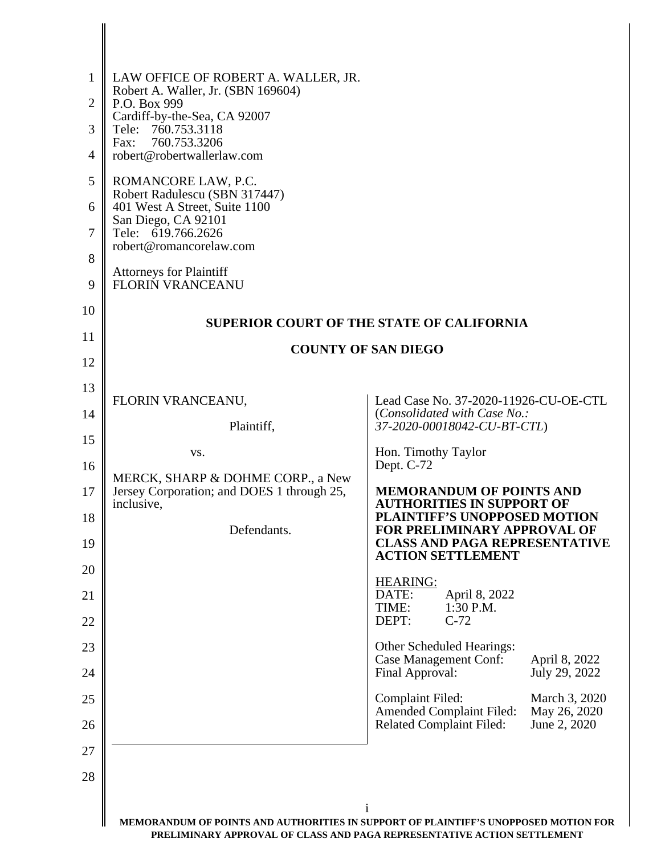| $\mathbf{1}$<br>$\overline{2}$ | LAW OFFICE OF ROBERT A. WALLER, JR.<br>Robert A. Waller, Jr. (SBN 169604)<br>P.O. Box 999 |                                                                                                                   |                                               |
|--------------------------------|-------------------------------------------------------------------------------------------|-------------------------------------------------------------------------------------------------------------------|-----------------------------------------------|
| 3                              | Cardiff-by-the-Sea, CA 92007<br>Tele: 760.753.3118<br>760.753.3206<br>Fax:                |                                                                                                                   |                                               |
| $\overline{4}$                 | robert@robertwallerlaw.com                                                                |                                                                                                                   |                                               |
| 5                              | ROMANCORE LAW, P.C.<br>Robert Radulescu (SBN 317447)                                      |                                                                                                                   |                                               |
| 6                              | 401 West A Street, Suite 1100<br>San Diego, CA 92101                                      |                                                                                                                   |                                               |
| 7                              | Tele: 619.766.2626<br>robert@romancorelaw.com                                             |                                                                                                                   |                                               |
| 8<br>9                         | <b>Attorneys for Plaintiff</b><br>FLORIN VRANCEANU                                        |                                                                                                                   |                                               |
| 10                             |                                                                                           |                                                                                                                   |                                               |
| 11                             | <b>SUPERIOR COURT OF THE STATE OF CALIFORNIA</b>                                          |                                                                                                                   |                                               |
| 12                             |                                                                                           | <b>COUNTY OF SAN DIEGO</b>                                                                                        |                                               |
| 13                             |                                                                                           |                                                                                                                   |                                               |
| 14                             | FLORIN VRANCEANU,<br>Plaintiff,                                                           | Lead Case No. 37-2020-11926-CU-OE-CTL<br>(Consolidated with Case No.:<br>37-2020-00018042-CU-BT-CTL)              |                                               |
| 15                             | VS.                                                                                       | Hon. Timothy Taylor                                                                                               |                                               |
| 16                             | MERCK, SHARP & DOHME CORP., a New                                                         | Dept. C-72                                                                                                        |                                               |
| 17                             | Jersey Corporation; and DOES 1 through 25,<br>inclusive,                                  | <b>MEMORANDUM OF POINTS AND</b><br><b>AUTHORITIES IN SUPPORT OF</b>                                               |                                               |
| 18<br>19                       | Defendants.                                                                               | <b>PLAINTIFF'S UNOPPOSED MOTION</b><br><b>FOR PRELIMINARY APPROVAL OF</b><br><b>CLASS AND PAGA REPRESENTATIVE</b> |                                               |
| 20                             |                                                                                           | <b>ACTION SETTLEMENT</b>                                                                                          |                                               |
| 21                             |                                                                                           | <b>HEARING:</b><br>DATE:<br>April 8, 2022                                                                         |                                               |
| 22                             |                                                                                           | TIME:<br>1:30 P.M.<br>DEPT:<br>$C-72$                                                                             |                                               |
| 23                             |                                                                                           | Other Scheduled Hearings:<br><b>Case Management Conf:</b>                                                         | April 8, 2022                                 |
| 24                             |                                                                                           | Final Approval:                                                                                                   | July 29, 2022                                 |
| 25<br>26                       |                                                                                           | Complaint Filed:<br><b>Amended Complaint Filed:</b><br><b>Related Complaint Filed:</b>                            | March 3, 2020<br>May 26, 2020<br>June 2, 2020 |
| 27                             |                                                                                           |                                                                                                                   |                                               |
| 28                             |                                                                                           |                                                                                                                   |                                               |
|                                |                                                                                           | $\mathbf{1}$                                                                                                      |                                               |
|                                | MEMORANDUM OF POINTS AND AUTHORITIES IN SUPPORT OF PLAINTIFF'S UNOPPOSED MOTION FOR       |                                                                                                                   |                                               |

 $\Big\|$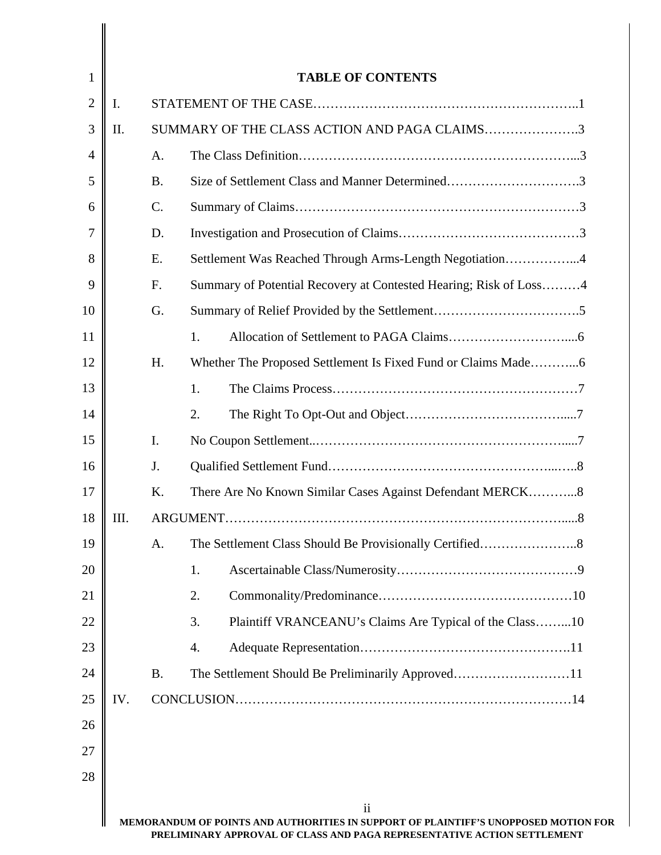| 1              |      |           | <b>TABLE OF CONTENTS</b>                                          |
|----------------|------|-----------|-------------------------------------------------------------------|
| $\overline{2}$ | I.   |           |                                                                   |
| 3              | II.  |           | SUMMARY OF THE CLASS ACTION AND PAGA CLAIMS3                      |
| $\overline{4}$ |      | A.        |                                                                   |
| 5              |      | <b>B.</b> | Size of Settlement Class and Manner Determined3                   |
| 6              |      | C.        |                                                                   |
| 7              |      | D.        |                                                                   |
| 8              |      | E.        | Settlement Was Reached Through Arms-Length Negotiation4           |
| 9              |      | F.        | Summary of Potential Recovery at Contested Hearing; Risk of Loss4 |
| 10             |      | G.        |                                                                   |
| 11             |      |           | 1.                                                                |
| 12             |      | H.        |                                                                   |
| 13             |      |           | 1.                                                                |
| 14             |      |           | 2.                                                                |
| 15             |      | I.        |                                                                   |
| 16             |      | J.        |                                                                   |
| 17             |      | K.        | There Are No Known Similar Cases Against Defendant MERCK8         |
| 18             | III. |           |                                                                   |
| 19             |      | A.        |                                                                   |
| 20             |      |           | 1.                                                                |
| 21             |      |           | 2.                                                                |
| 22             |      |           | Plaintiff VRANCEANU's Claims Are Typical of the Class10<br>3.     |
| 23             |      |           | 4.                                                                |
| 24             |      | <b>B.</b> | The Settlement Should Be Preliminarily Approved11                 |
| 25             | IV.  |           |                                                                   |
| 26             |      |           |                                                                   |
| 27             |      |           |                                                                   |
| 28             |      |           |                                                                   |
|                |      |           | $\mathbf{ii}$                                                     |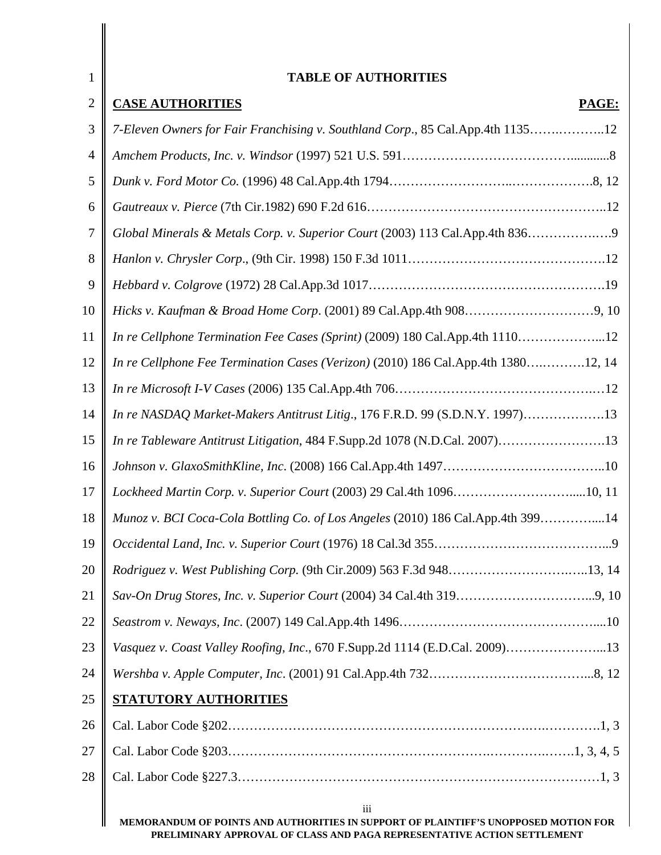| $\mathbf{1}$   | <b>TABLE OF AUTHORITIES</b>                                                                |
|----------------|--------------------------------------------------------------------------------------------|
| $\overline{2}$ | <b>CASE AUTHORITIES</b><br>PAGE:                                                           |
| 3              | 7-Eleven Owners for Fair Franchising v. Southland Corp., 85 Cal.App.4th 113512             |
| 4              |                                                                                            |
| 5              |                                                                                            |
| 6              |                                                                                            |
| 7              | Global Minerals & Metals Corp. v. Superior Court (2003) 113 Cal.App.4th 836                |
| 8              |                                                                                            |
| 9              |                                                                                            |
| 10             |                                                                                            |
| 11             | In re Cellphone Termination Fee Cases (Sprint) (2009) 180 Cal.App.4th 111012               |
| 12             | In re Cellphone Fee Termination Cases (Verizon) (2010) 186 Cal.App.4th 138012, 14          |
| 13             |                                                                                            |
| 14             | In re NASDAQ Market-Makers Antitrust Litig., 176 F.R.D. 99 (S.D.N.Y. 1997)13               |
| 15             | In re Tableware Antitrust Litigation, 484 F.Supp.2d 1078 (N.D.Cal. 2007)13                 |
| 16             |                                                                                            |
| 17             | Lockheed Martin Corp. v. Superior Court (2003) 29 Cal.4th 109610, 11                       |
| 18             | Munoz v. BCI Coca-Cola Bottling Co. of Los Angeles (2010) 186 Cal.App.4th 39914            |
| 19             |                                                                                            |
| 20             | Rodriguez v. West Publishing Corp. (9th Cir.2009) 563 F.3d 94813, 14                       |
| 21             |                                                                                            |
| 22             |                                                                                            |
| 23             | Vasquez v. Coast Valley Roofing, Inc., 670 F.Supp.2d 1114 (E.D.Cal. 2009)13                |
| 24             |                                                                                            |
| 25             | <b>STATUTORY AUTHORITIES</b>                                                               |
| 26             |                                                                                            |
| 27             |                                                                                            |
| 28             |                                                                                            |
|                | iii<br>MEMORANDUM OF POINTS AND AUTHORITIES IN SUPPORT OF PLAINTIFF'S UNOPPOSED MOTION FOR |

 $\begin{array}{c} \hline \end{array}$ 

**PRELIMINARY APPROVAL OF CLASS AND PAGA REPRESENTATIVE ACTION SETTLEMENT**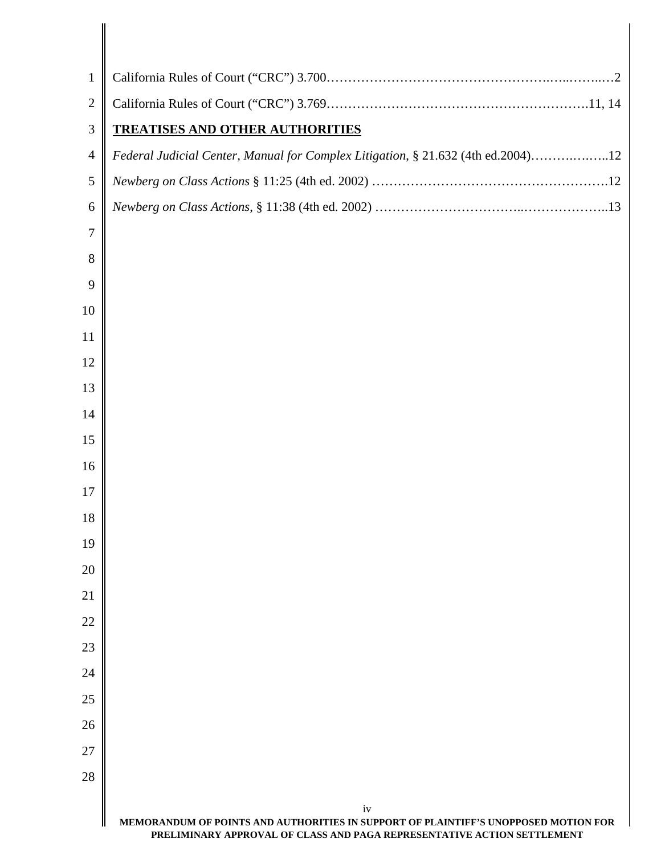| $\mathbf{1}$   |                                                                                                                                                                      |
|----------------|----------------------------------------------------------------------------------------------------------------------------------------------------------------------|
| $\overline{2}$ |                                                                                                                                                                      |
| 3              | <b>TREATISES AND OTHER AUTHORITIES</b>                                                                                                                               |
| $\overline{4}$ | Federal Judicial Center, Manual for Complex Litigation, § 21.632 (4th ed.2004)12                                                                                     |
| 5              |                                                                                                                                                                      |
| 6              |                                                                                                                                                                      |
| 7              |                                                                                                                                                                      |
| 8              |                                                                                                                                                                      |
| 9              |                                                                                                                                                                      |
| 10             |                                                                                                                                                                      |
| 11             |                                                                                                                                                                      |
| 12             |                                                                                                                                                                      |
| 13             |                                                                                                                                                                      |
| 14             |                                                                                                                                                                      |
| 15             |                                                                                                                                                                      |
| 16             |                                                                                                                                                                      |
| 17             |                                                                                                                                                                      |
| 18             |                                                                                                                                                                      |
| 19             |                                                                                                                                                                      |
| 20             |                                                                                                                                                                      |
| 21             |                                                                                                                                                                      |
| 22             |                                                                                                                                                                      |
| 23             |                                                                                                                                                                      |
| 24             |                                                                                                                                                                      |
| 25             |                                                                                                                                                                      |
| 26             |                                                                                                                                                                      |
| 27             |                                                                                                                                                                      |
| 28             |                                                                                                                                                                      |
|                | iv<br>MEMORANDUM OF POINTS AND AUTHORITIES IN SUPPORT OF PLAINTIFF'S UNOPPOSED MOTION FOR<br>PRELIMINARY APPROVAL OF CLASS AND PAGA REPRESENTATIVE ACTION SETTLEMENT |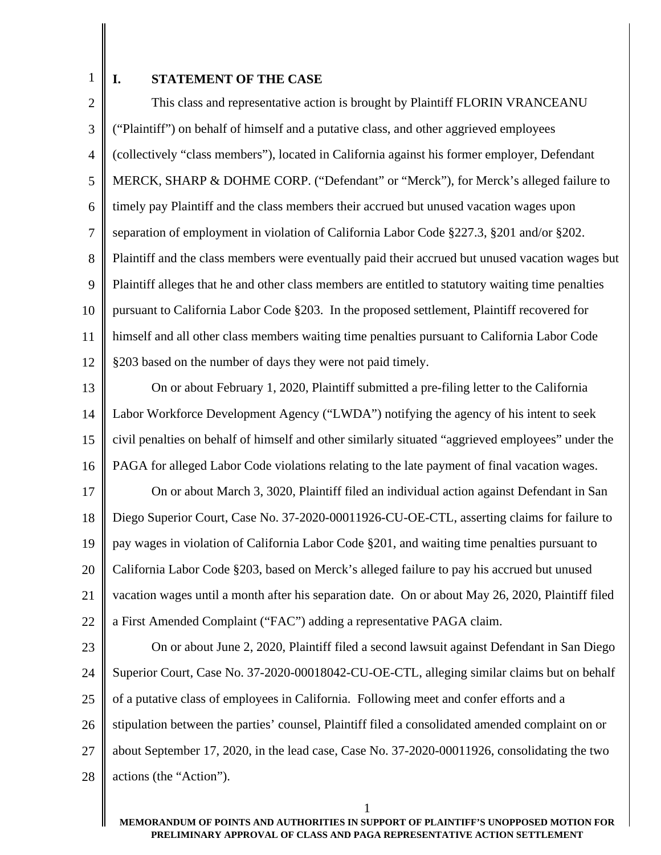1

### **I. STATEMENT OF THE CASE**

2 3 4 5 6 7 8 9 10 11 12 This class and representative action is brought by Plaintiff FLORIN VRANCEANU ("Plaintiff") on behalf of himself and a putative class, and other aggrieved employees (collectively "class members"), located in California against his former employer, Defendant MERCK, SHARP & DOHME CORP. ("Defendant" or "Merck"), for Merck's alleged failure to timely pay Plaintiff and the class members their accrued but unused vacation wages upon separation of employment in violation of California Labor Code §227.3, §201 and/or §202. Plaintiff and the class members were eventually paid their accrued but unused vacation wages but Plaintiff alleges that he and other class members are entitled to statutory waiting time penalties pursuant to California Labor Code §203. In the proposed settlement, Plaintiff recovered for himself and all other class members waiting time penalties pursuant to California Labor Code §203 based on the number of days they were not paid timely.

13 14 15 16 On or about February 1, 2020, Plaintiff submitted a pre-filing letter to the California Labor Workforce Development Agency ("LWDA") notifying the agency of his intent to seek civil penalties on behalf of himself and other similarly situated "aggrieved employees" under the PAGA for alleged Labor Code violations relating to the late payment of final vacation wages.

17 18 19 20 21 22 On or about March 3, 3020, Plaintiff filed an individual action against Defendant in San Diego Superior Court, Case No. 37-2020-00011926-CU-OE-CTL, asserting claims for failure to pay wages in violation of California Labor Code §201, and waiting time penalties pursuant to California Labor Code §203, based on Merck's alleged failure to pay his accrued but unused vacation wages until a month after his separation date. On or about May 26, 2020, Plaintiff filed a First Amended Complaint ("FAC") adding a representative PAGA claim.

23 24 25 26 27 28 On or about June 2, 2020, Plaintiff filed a second lawsuit against Defendant in San Diego Superior Court, Case No. 37-2020-00018042-CU-OE-CTL, alleging similar claims but on behalf of a putative class of employees in California. Following meet and confer efforts and a stipulation between the parties' counsel, Plaintiff filed a consolidated amended complaint on or about September 17, 2020, in the lead case, Case No. 37-2020-00011926, consolidating the two actions (the "Action").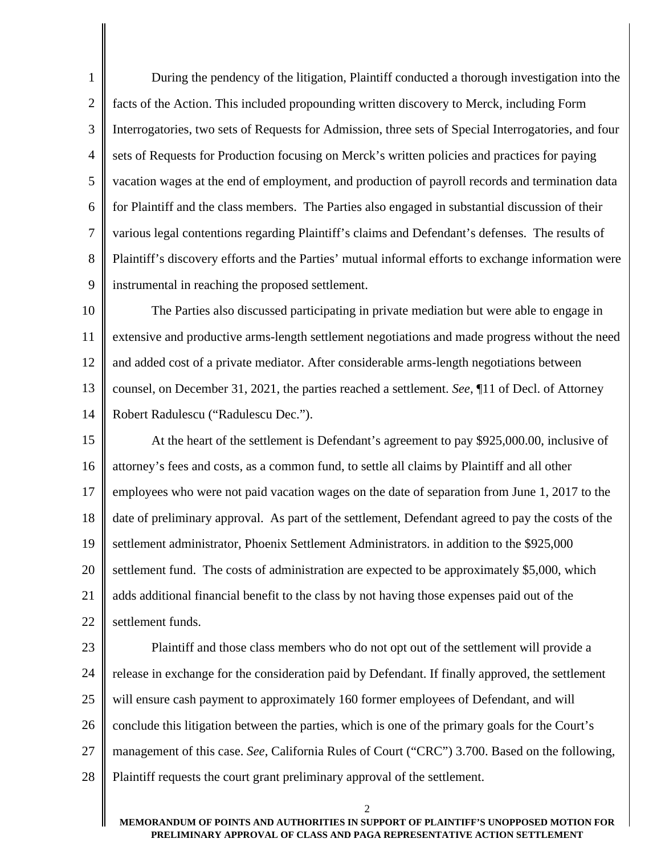1 2 3 4 5 6 7 8 9 During the pendency of the litigation, Plaintiff conducted a thorough investigation into the facts of the Action. This included propounding written discovery to Merck, including Form Interrogatories, two sets of Requests for Admission, three sets of Special Interrogatories, and four sets of Requests for Production focusing on Merck's written policies and practices for paying vacation wages at the end of employment, and production of payroll records and termination data for Plaintiff and the class members. The Parties also engaged in substantial discussion of their various legal contentions regarding Plaintiff's claims and Defendant's defenses. The results of Plaintiff's discovery efforts and the Parties' mutual informal efforts to exchange information were instrumental in reaching the proposed settlement.

10 11 12 13 14 The Parties also discussed participating in private mediation but were able to engage in extensive and productive arms-length settlement negotiations and made progress without the need and added cost of a private mediator. After considerable arms-length negotiations between counsel, on December 31, 2021, the parties reached a settlement. *See*, ¶11 of Decl. of Attorney Robert Radulescu ("Radulescu Dec.").

15 16 17 18 19 20 21 22 At the heart of the settlement is Defendant's agreement to pay \$925,000.00, inclusive of attorney's fees and costs, as a common fund, to settle all claims by Plaintiff and all other employees who were not paid vacation wages on the date of separation from June 1, 2017 to the date of preliminary approval. As part of the settlement, Defendant agreed to pay the costs of the settlement administrator, Phoenix Settlement Administrators. in addition to the \$925,000 settlement fund. The costs of administration are expected to be approximately \$5,000, which adds additional financial benefit to the class by not having those expenses paid out of the settlement funds.

23 24 25 26 27 28 Plaintiff and those class members who do not opt out of the settlement will provide a release in exchange for the consideration paid by Defendant. If finally approved, the settlement will ensure cash payment to approximately 160 former employees of Defendant, and will conclude this litigation between the parties, which is one of the primary goals for the Court's management of this case. *See*, California Rules of Court ("CRC") 3.700. Based on the following, Plaintiff requests the court grant preliminary approval of the settlement.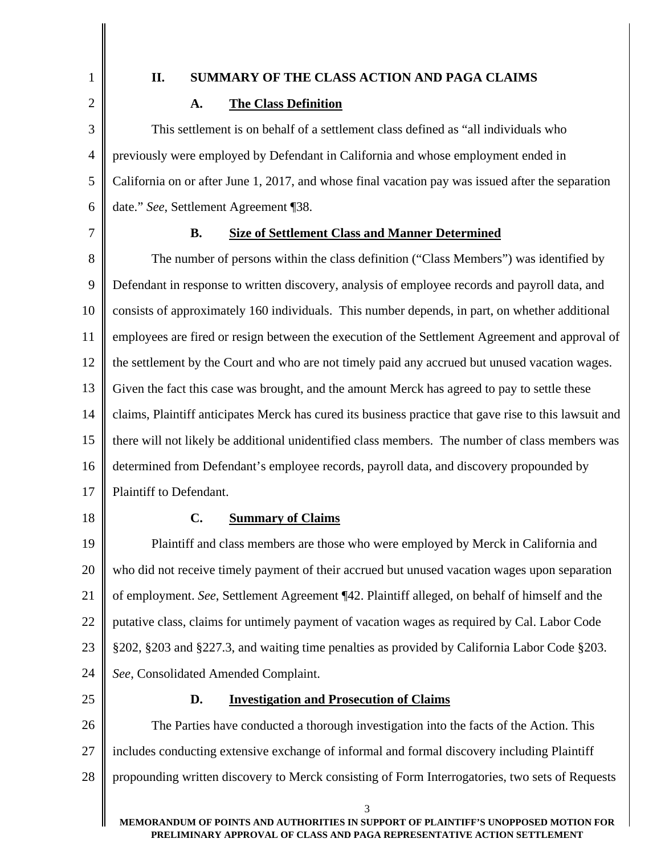1 2

## **II. SUMMARY OF THE CLASS ACTION AND PAGA CLAIMS**

## **A. The Class Definition**

3 4 5 6 This settlement is on behalf of a settlement class defined as "all individuals who previously were employed by Defendant in California and whose employment ended in California on or after June 1, 2017, and whose final vacation pay was issued after the separation date." *See*, Settlement Agreement ¶38.

7

#### **B. Size of Settlement Class and Manner Determined**

8 9 10 11 12 13 14 15 16 17 The number of persons within the class definition ("Class Members") was identified by Defendant in response to written discovery, analysis of employee records and payroll data, and consists of approximately 160 individuals. This number depends, in part, on whether additional employees are fired or resign between the execution of the Settlement Agreement and approval of the settlement by the Court and who are not timely paid any accrued but unused vacation wages. Given the fact this case was brought, and the amount Merck has agreed to pay to settle these claims, Plaintiff anticipates Merck has cured its business practice that gave rise to this lawsuit and there will not likely be additional unidentified class members. The number of class members was determined from Defendant's employee records, payroll data, and discovery propounded by Plaintiff to Defendant.

18

## **C. Summary of Claims**

19 20 21 22 23 24 Plaintiff and class members are those who were employed by Merck in California and who did not receive timely payment of their accrued but unused vacation wages upon separation of employment. *See*, Settlement Agreement ¶42. Plaintiff alleged, on behalf of himself and the putative class, claims for untimely payment of vacation wages as required by Cal. Labor Code §202, §203 and §227.3, and waiting time penalties as provided by California Labor Code §203. *See*, Consolidated Amended Complaint.

25

#### **D. Investigation and Prosecution of Claims**

26 27 28 The Parties have conducted a thorough investigation into the facts of the Action. This includes conducting extensive exchange of informal and formal discovery including Plaintiff propounding written discovery to Merck consisting of Form Interrogatories, two sets of Requests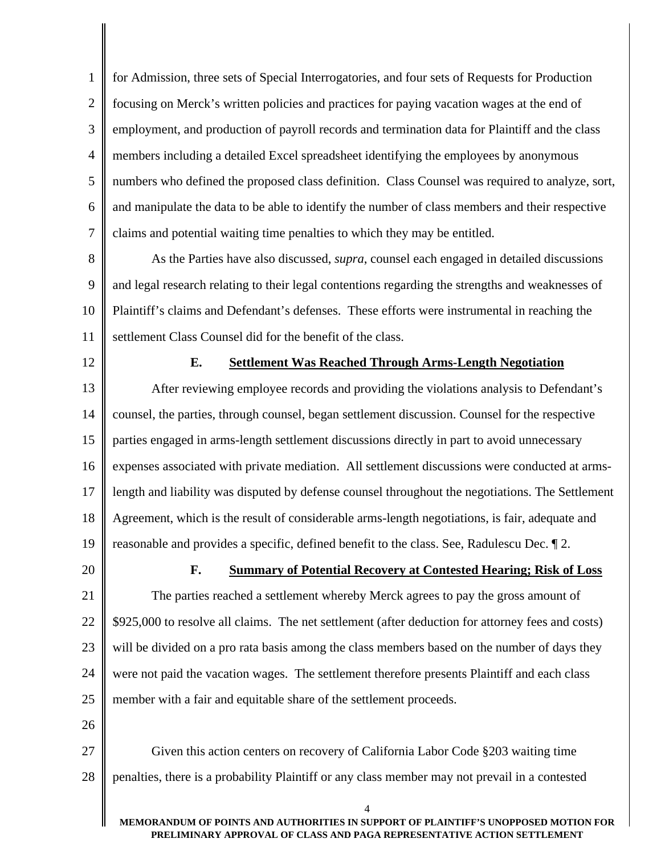1 2 3 4 5 6 7 for Admission, three sets of Special Interrogatories, and four sets of Requests for Production focusing on Merck's written policies and practices for paying vacation wages at the end of employment, and production of payroll records and termination data for Plaintiff and the class members including a detailed Excel spreadsheet identifying the employees by anonymous numbers who defined the proposed class definition. Class Counsel was required to analyze, sort, and manipulate the data to be able to identify the number of class members and their respective claims and potential waiting time penalties to which they may be entitled.

8 9 10 11 As the Parties have also discussed, *supra*, counsel each engaged in detailed discussions and legal research relating to their legal contentions regarding the strengths and weaknesses of Plaintiff's claims and Defendant's defenses. These efforts were instrumental in reaching the settlement Class Counsel did for the benefit of the class.

12

#### **E. Settlement Was Reached Through Arms-Length Negotiation**

13 14 15 16 17 18 19 After reviewing employee records and providing the violations analysis to Defendant's counsel, the parties, through counsel, began settlement discussion. Counsel for the respective parties engaged in arms-length settlement discussions directly in part to avoid unnecessary expenses associated with private mediation. All settlement discussions were conducted at armslength and liability was disputed by defense counsel throughout the negotiations. The Settlement Agreement, which is the result of considerable arms-length negotiations, is fair, adequate and reasonable and provides a specific, defined benefit to the class. See, Radulescu Dec. ¶ 2.

20

#### **F. Summary of Potential Recovery at Contested Hearing; Risk of Loss**

21 22 23 24 25 The parties reached a settlement whereby Merck agrees to pay the gross amount of \$925,000 to resolve all claims. The net settlement (after deduction for attorney fees and costs) will be divided on a pro rata basis among the class members based on the number of days they were not paid the vacation wages. The settlement therefore presents Plaintiff and each class member with a fair and equitable share of the settlement proceeds.

26

27 28 Given this action centers on recovery of California Labor Code §203 waiting time penalties, there is a probability Plaintiff or any class member may not prevail in a contested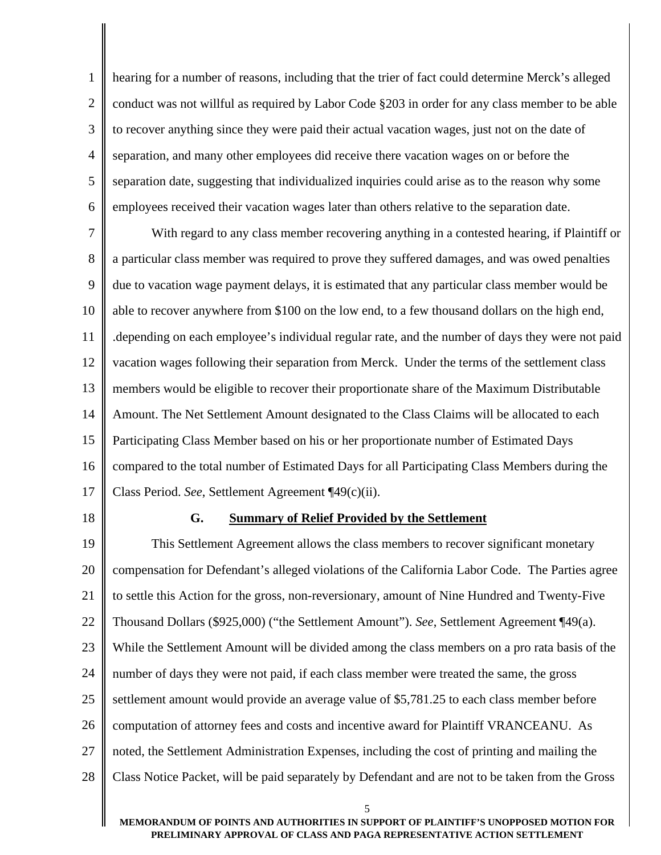1 2 3 4 5 6 hearing for a number of reasons, including that the trier of fact could determine Merck's alleged conduct was not willful as required by Labor Code §203 in order for any class member to be able to recover anything since they were paid their actual vacation wages, just not on the date of separation, and many other employees did receive there vacation wages on or before the separation date, suggesting that individualized inquiries could arise as to the reason why some employees received their vacation wages later than others relative to the separation date.

7 8 9 10 11 12 13 14 15 16 17 With regard to any class member recovering anything in a contested hearing, if Plaintiff or a particular class member was required to prove they suffered damages, and was owed penalties due to vacation wage payment delays, it is estimated that any particular class member would be able to recover anywhere from \$100 on the low end, to a few thousand dollars on the high end, .depending on each employee's individual regular rate, and the number of days they were not paid vacation wages following their separation from Merck. Under the terms of the settlement class members would be eligible to recover their proportionate share of the Maximum Distributable Amount. The Net Settlement Amount designated to the Class Claims will be allocated to each Participating Class Member based on his or her proportionate number of Estimated Days compared to the total number of Estimated Days for all Participating Class Members during the Class Period. *See*, Settlement Agreement ¶49(c)(ii).

18

#### **G. Summary of Relief Provided by the Settlement**

 $\overline{a}$ 19 20 21 22 23 24 25 26 27 28 This Settlement Agreement allows the class members to recover significant monetary compensation for Defendant's alleged violations of the California Labor Code. The Parties agree to settle this Action for the gross, non-reversionary, amount of Nine Hundred and Twenty-Five Thousand Dollars (\$925,000) ("the Settlement Amount"). *See*, Settlement Agreement ¶49(a). While the Settlement Amount will be divided among the class members on a pro rata basis of the number of days they were not paid, if each class member were treated the same, the gross settlement amount would provide an average value of \$5,781.25 to each class member before computation of attorney fees and costs and incentive award for Plaintiff VRANCEANU. As noted, the Settlement Administration Expenses, including the cost of printing and mailing the Class Notice Packet, will be paid separately by Defendant and are not to be taken from the Gross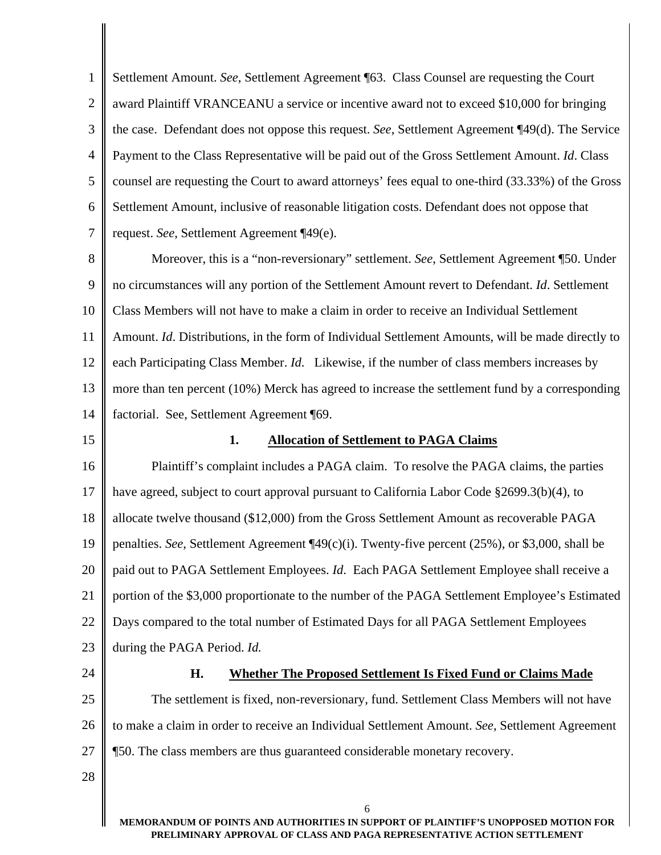1 2 3 4 5 6 7 Settlement Amount. *See*, Settlement Agreement ¶63. Class Counsel are requesting the Court award Plaintiff VRANCEANU a service or incentive award not to exceed \$10,000 for bringing the case. Defendant does not oppose this request. *See*, Settlement Agreement ¶49(d). The Service Payment to the Class Representative will be paid out of the Gross Settlement Amount. *Id*. Class counsel are requesting the Court to award attorneys' fees equal to one-third (33.33%) of the Gross Settlement Amount, inclusive of reasonable litigation costs. Defendant does not oppose that request. *See*, Settlement Agreement ¶49(e).

8 9 10 11 12 13 14 Moreover, this is a "non-reversionary" settlement. *See*, Settlement Agreement ¶50. Under no circumstances will any portion of the Settlement Amount revert to Defendant. *Id*. Settlement Class Members will not have to make a claim in order to receive an Individual Settlement Amount. *Id*. Distributions, in the form of Individual Settlement Amounts, will be made directly to each Participating Class Member. *Id*. Likewise, if the number of class members increases by more than ten percent (10%) Merck has agreed to increase the settlement fund by a corresponding factorial. See, Settlement Agreement ¶69.

15

#### **1. Allocation of Settlement to PAGA Claims**

16 17 18 19 20 21 22 23 Plaintiff's complaint includes a PAGA claim. To resolve the PAGA claims, the parties have agreed, subject to court approval pursuant to California Labor Code §2699.3(b)(4), to allocate twelve thousand (\$12,000) from the Gross Settlement Amount as recoverable PAGA penalties. *See*, Settlement Agreement ¶49(c)(i). Twenty-five percent (25%), or \$3,000, shall be paid out to PAGA Settlement Employees. *Id*. Each PAGA Settlement Employee shall receive a portion of the \$3,000 proportionate to the number of the PAGA Settlement Employee's Estimated Days compared to the total number of Estimated Days for all PAGA Settlement Employees during the PAGA Period. *Id.* 

24

#### **H. Whether The Proposed Settlement Is Fixed Fund or Claims Made**

25 26 27 The settlement is fixed, non-reversionary, fund. Settlement Class Members will not have to make a claim in order to receive an Individual Settlement Amount. *See*, Settlement Agreement ¶50. The class members are thus guaranteed considerable monetary recovery.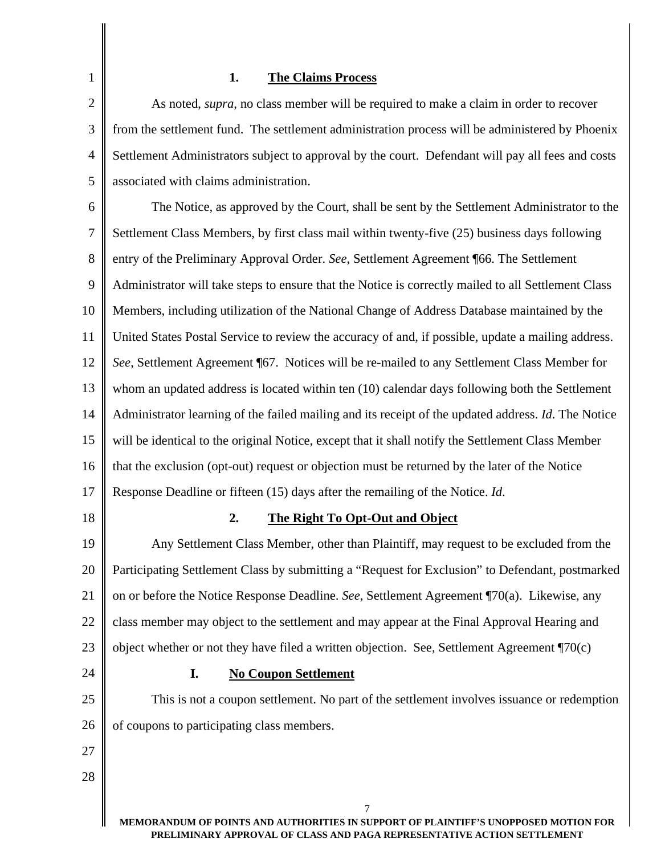# **1. The Claims Process**

1

| $\overline{c}$ | As noted, <i>supra</i> , no class member will be required to make a claim in order to recover       |
|----------------|-----------------------------------------------------------------------------------------------------|
| 3              | from the settlement fund. The settlement administration process will be administered by Phoenix     |
| 4              | Settlement Administrators subject to approval by the court. Defendant will pay all fees and costs   |
| 5              | associated with claims administration.                                                              |
| 6              | The Notice, as approved by the Court, shall be sent by the Settlement Administrator to the          |
| 7              | Settlement Class Members, by first class mail within twenty-five (25) business days following       |
| $8\,$          | entry of the Preliminary Approval Order. See, Settlement Agreement ¶66. The Settlement              |
| 9              | Administrator will take steps to ensure that the Notice is correctly mailed to all Settlement Class |
| 10             | Members, including utilization of the National Change of Address Database maintained by the         |
| 11             | United States Postal Service to review the accuracy of and, if possible, update a mailing address.  |
| 12             | See, Settlement Agreement ¶67. Notices will be re-mailed to any Settlement Class Member for         |
| 13             | whom an updated address is located within ten (10) calendar days following both the Settlement      |
| 14             | Administrator learning of the failed mailing and its receipt of the updated address. Id. The Notice |
| 15             | will be identical to the original Notice, except that it shall notify the Settlement Class Member   |
| 16             | that the exclusion (opt-out) request or objection must be returned by the later of the Notice       |
| 17             | Response Deadline or fifteen (15) days after the remailing of the Notice. Id.                       |
| 18             | 2.<br>The Right To Opt-Out and Object                                                               |
| 19             | Any Settlement Class Member, other than Plaintiff, may request to be excluded from the              |
| 20             | Participating Settlement Class by submitting a "Request for Exclusion" to Defendant, postmarked     |
| 21             | on or before the Notice Response Deadline. See, Settlement Agreement ¶70(a). Likewise, any          |
| 22             | class member may object to the settlement and may appear at the Final Approval Hearing and          |
| 23             | object whether or not they have filed a written objection. See, Settlement Agreement $\P$ 70(c)     |
| 24             | <b>No Coupon Settlement</b><br>I.                                                                   |
| 25             | This is not a coupon settlement. No part of the settlement involves issuance or redemption          |
| 26             | of coupons to participating class members.                                                          |
| 27             |                                                                                                     |
| 28             |                                                                                                     |
|                | 7                                                                                                   |
|                | MEMORANDUM OF POINTS AND AUTHORITIES IN SUPPORT OF PLAINTIFF'S UNOPPOSED MOTION FOR                 |

**PRELIMINARY APPROVAL OF CLASS AND PAGA REPRESENTATIVE ACTION SETTLEMENT**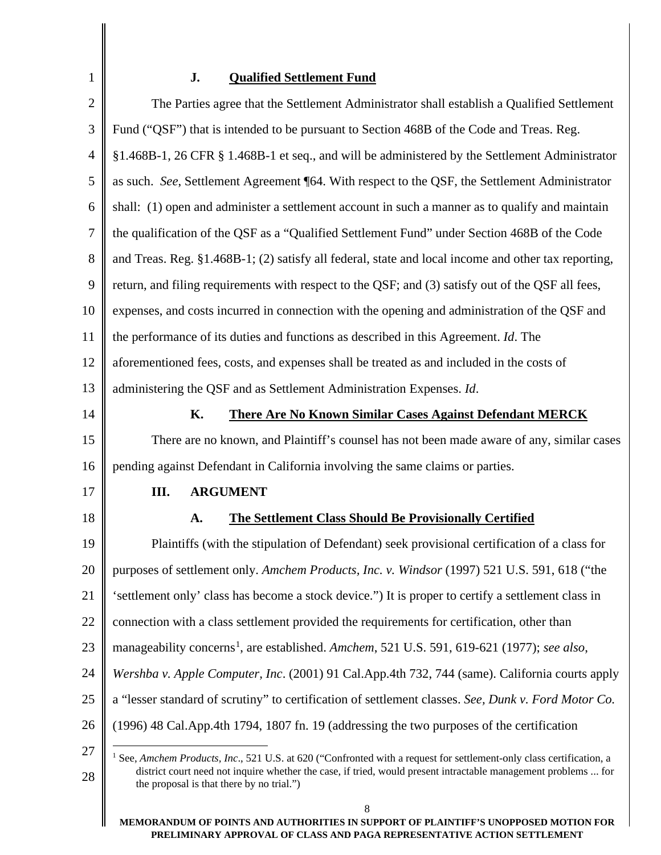# **J. Qualified Settlement Fund**

<span id="page-11-0"></span>

| $\mathbf{2}$   | The Parties agree that the Settlement Administrator shall establish a Qualified Settlement                                                                                                                                                                                                             |  |  |
|----------------|--------------------------------------------------------------------------------------------------------------------------------------------------------------------------------------------------------------------------------------------------------------------------------------------------------|--|--|
| 3              | Fund ("QSF") that is intended to be pursuant to Section 468B of the Code and Treas. Reg.                                                                                                                                                                                                               |  |  |
| $\overline{4}$ | §1.468B-1, 26 CFR § 1.468B-1 et seq., and will be administered by the Settlement Administrator                                                                                                                                                                                                         |  |  |
| 5              | as such. See, Settlement Agreement ¶64. With respect to the QSF, the Settlement Administrator                                                                                                                                                                                                          |  |  |
| 6              | shall: (1) open and administer a settlement account in such a manner as to qualify and maintain                                                                                                                                                                                                        |  |  |
| 7              | the qualification of the QSF as a "Qualified Settlement Fund" under Section 468B of the Code                                                                                                                                                                                                           |  |  |
| 8              | and Treas. Reg. §1.468B-1; (2) satisfy all federal, state and local income and other tax reporting,                                                                                                                                                                                                    |  |  |
| 9              | return, and filing requirements with respect to the QSF; and (3) satisfy out of the QSF all fees,                                                                                                                                                                                                      |  |  |
| 10             | expenses, and costs incurred in connection with the opening and administration of the QSF and                                                                                                                                                                                                          |  |  |
| 11             | the performance of its duties and functions as described in this Agreement. Id. The                                                                                                                                                                                                                    |  |  |
| 12             | aforementioned fees, costs, and expenses shall be treated as and included in the costs of                                                                                                                                                                                                              |  |  |
| 13             | administering the QSF and as Settlement Administration Expenses. Id.                                                                                                                                                                                                                                   |  |  |
| 14             | К.<br><b>There Are No Known Similar Cases Against Defendant MERCK</b>                                                                                                                                                                                                                                  |  |  |
| 15             | There are no known, and Plaintiff's counsel has not been made aware of any, similar cases                                                                                                                                                                                                              |  |  |
| 16             | pending against Defendant in California involving the same claims or parties.                                                                                                                                                                                                                          |  |  |
| 17             | <b>ARGUMENT</b><br>Ш.                                                                                                                                                                                                                                                                                  |  |  |
| 18             | <b>The Settlement Class Should Be Provisionally Certified</b><br>A.                                                                                                                                                                                                                                    |  |  |
| 19             | Plaintiffs (with the stipulation of Defendant) seek provisional certification of a class for                                                                                                                                                                                                           |  |  |
| 20             | purposes of settlement only. Amchem Products, Inc. v. Windsor (1997) 521 U.S. 591, 618 ("the                                                                                                                                                                                                           |  |  |
| 21             | 'settlement only' class has become a stock device.") It is proper to certify a settlement class in                                                                                                                                                                                                     |  |  |
| 22             | connection with a class settlement provided the requirements for certification, other than                                                                                                                                                                                                             |  |  |
| 23             | manageability concerns <sup>1</sup> , are established. Amchem, 521 U.S. 591, 619-621 (1977); see also,                                                                                                                                                                                                 |  |  |
| 24             | Wershba v. Apple Computer, Inc. (2001) 91 Cal.App.4th 732, 744 (same). California courts apply                                                                                                                                                                                                         |  |  |
| 25             | a "lesser standard of scrutiny" to certification of settlement classes. See, Dunk v. Ford Motor Co.                                                                                                                                                                                                    |  |  |
| 26             | (1996) 48 Cal. App. 4th 1794, 1807 fn. 19 (addressing the two purposes of the certification                                                                                                                                                                                                            |  |  |
| 27<br>28       | <sup>1</sup> See, <i>Amchem Products, Inc.</i> , 521 U.S. at 620 ("Confronted with a request for settlement-only class certification, a<br>district court need not inquire whether the case, if tried, would present intractable management problems  for<br>the proposal is that there by no trial.") |  |  |
|                |                                                                                                                                                                                                                                                                                                        |  |  |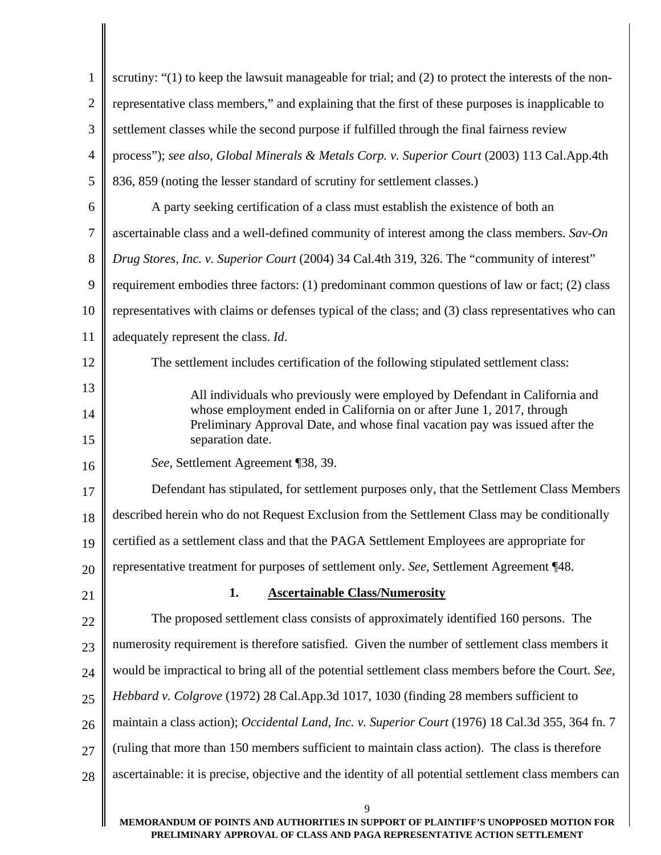| $\mathbf{1}$   | scrutiny: "(1) to keep the lawsuit manageable for trial; and (2) to protect the interests of the non-                                                  |  |  |
|----------------|--------------------------------------------------------------------------------------------------------------------------------------------------------|--|--|
| $\overline{2}$ | representative class members," and explaining that the first of these purposes is inapplicable to                                                      |  |  |
| 3              | settlement classes while the second purpose if fulfilled through the final fairness review                                                             |  |  |
| $\overline{4}$ | process"); see also, Global Minerals & Metals Corp. v. Superior Court (2003) 113 Cal.App.4th                                                           |  |  |
| 5              | 836, 859 (noting the lesser standard of scrutiny for settlement classes.)                                                                              |  |  |
| 6              | A party seeking certification of a class must establish the existence of both an                                                                       |  |  |
| $\overline{7}$ | ascertainable class and a well-defined community of interest among the class members. Sav-On                                                           |  |  |
| 8              | Drug Stores, Inc. v. Superior Court (2004) 34 Cal.4th 319, 326. The "community of interest"                                                            |  |  |
| 9              | requirement embodies three factors: (1) predominant common questions of law or fact; (2) class                                                         |  |  |
| 10             | representatives with claims or defenses typical of the class; and (3) class representatives who can                                                    |  |  |
| 11             | adequately represent the class. Id.                                                                                                                    |  |  |
| 12             | The settlement includes certification of the following stipulated settlement class:                                                                    |  |  |
| 13             | All individuals who previously were employed by Defendant in California and                                                                            |  |  |
| 14             | whose employment ended in California on or after June 1, 2017, through<br>Preliminary Approval Date, and whose final vacation pay was issued after the |  |  |
| 15             | separation date.                                                                                                                                       |  |  |
| 16             | See, Settlement Agreement ¶38, 39.                                                                                                                     |  |  |
| 17             | Defendant has stipulated, for settlement purposes only, that the Settlement Class Members                                                              |  |  |
| 18             | described herein who do not Request Exclusion from the Settlement Class may be conditionally                                                           |  |  |
| 19             | certified as a settlement class and that the PAGA Settlement Employees are appropriate for                                                             |  |  |
| 20             | representative treatment for purposes of settlement only. See, Settlement Agreement ¶48.                                                               |  |  |
| 21             | <b>Ascertainable Class/Numerosity</b><br>1.                                                                                                            |  |  |
| 22             | The proposed settlement class consists of approximately identified 160 persons. The                                                                    |  |  |
| 23             | numerosity requirement is therefore satisfied. Given the number of settlement class members it                                                         |  |  |
| 24             | would be impractical to bring all of the potential settlement class members before the Court. See,                                                     |  |  |
| 25             | Hebbard v. Colgrove (1972) 28 Cal.App.3d 1017, 1030 (finding 28 members sufficient to                                                                  |  |  |
| 26             | maintain a class action); Occidental Land, Inc. v. Superior Court (1976) 18 Cal.3d 355, 364 fn. 7                                                      |  |  |
| 27             | (ruling that more than 150 members sufficient to maintain class action). The class is therefore                                                        |  |  |
| 28             | ascertainable: it is precise, objective and the identity of all potential settlement class members can                                                 |  |  |
|                | 9                                                                                                                                                      |  |  |
|                | MEMORANDUM OF POINTS AND AUTHORITIES IN SUPPORT OF PLAINTIFF'S UNOPPOSED MOTION FOR                                                                    |  |  |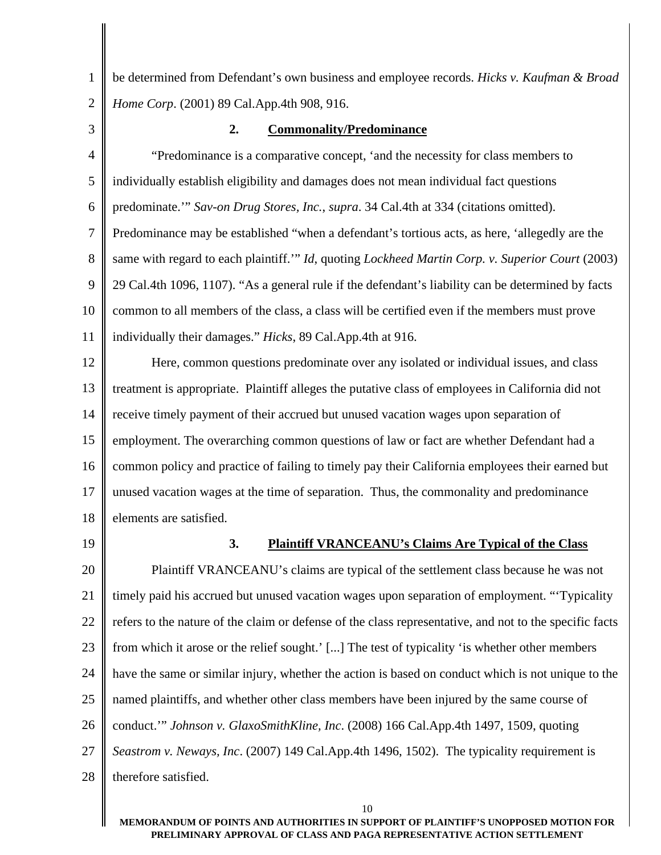1 2 be determined from Defendant's own business and employee records. *Hicks v. Kaufman & Broad Home Corp*. (2001) 89 Cal.App.4th 908, 916.

3

#### **2. Commonality/Predominance**

4 5 6 7 8 9 10 11 "Predominance is a comparative concept, 'and the necessity for class members to individually establish eligibility and damages does not mean individual fact questions predominate.'" *Sav-on Drug Stores, Inc.*, *supra*. 34 Cal.4th at 334 (citations omitted). Predominance may be established "when a defendant's tortious acts, as here, 'allegedly are the same with regard to each plaintiff.'" *Id*, quoting *Lockheed Martin Corp. v. Superior Court* (2003) 29 Cal.4th 1096, 1107). "As a general rule if the defendant's liability can be determined by facts common to all members of the class, a class will be certified even if the members must prove individually their damages." *Hicks*, 89 Cal.App.4th at 916.

12 13 14 15 16 17 18 Here, common questions predominate over any isolated or individual issues, and class treatment is appropriate. Plaintiff alleges the putative class of employees in California did not receive timely payment of their accrued but unused vacation wages upon separation of employment. The overarching common questions of law or fact are whether Defendant had a common policy and practice of failing to timely pay their California employees their earned but unused vacation wages at the time of separation. Thus, the commonality and predominance elements are satisfied.

19

#### **3. Plaintiff VRANCEANU's Claims Are Typical of the Class**

20 21 22 23 24 25 26 27 28 Plaintiff VRANCEANU's claims are typical of the settlement class because he was not timely paid his accrued but unused vacation wages upon separation of employment. "'Typicality refers to the nature of the claim or defense of the class representative, and not to the specific facts from which it arose or the relief sought.' [...] The test of typicality 'is whether other members have the same or similar injury, whether the action is based on conduct which is not unique to the named plaintiffs, and whether other class members have been injured by the same course of conduct.'" *Johnson v. GlaxoSmithKline, Inc*. (2008) 166 Cal.App.4th 1497, 1509, quoting *Seastrom v. Neways, Inc*. (2007) 149 Cal.App.4th 1496, 1502). The typicality requirement is therefore satisfied.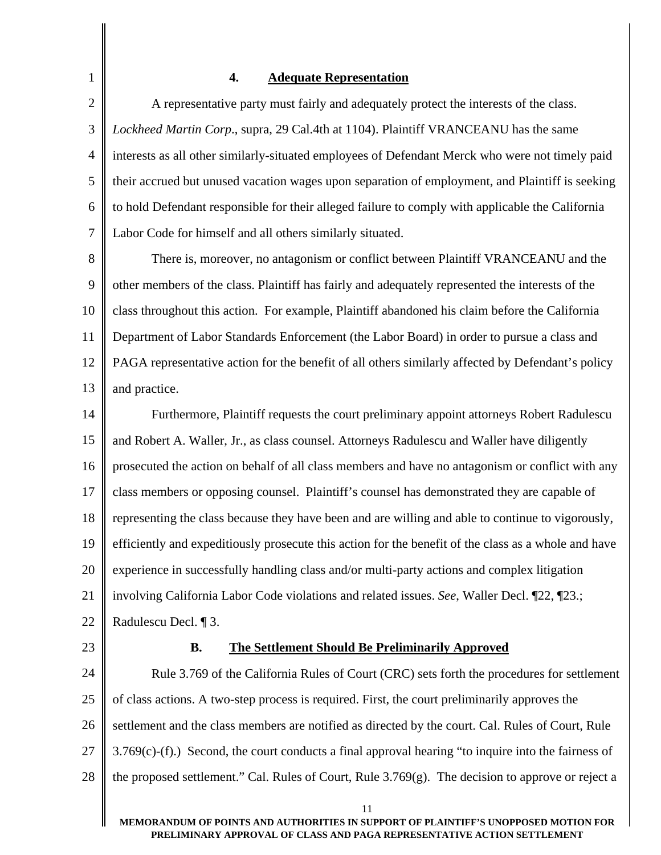## **4. Adequate Representation**

2 3 4 5 6 7 A representative party must fairly and adequately protect the interests of the class. *Lockheed Martin Corp*., supra, 29 Cal.4th at 1104). Plaintiff VRANCEANU has the same interests as all other similarly-situated employees of Defendant Merck who were not timely paid their accrued but unused vacation wages upon separation of employment, and Plaintiff is seeking to hold Defendant responsible for their alleged failure to comply with applicable the California Labor Code for himself and all others similarly situated.

8 9 10 11 12 13 There is, moreover, no antagonism or conflict between Plaintiff VRANCEANU and the other members of the class. Plaintiff has fairly and adequately represented the interests of the class throughout this action. For example, Plaintiff abandoned his claim before the California Department of Labor Standards Enforcement (the Labor Board) in order to pursue a class and PAGA representative action for the benefit of all others similarly affected by Defendant's policy and practice.

14 15 16 17 18 19 20 21 22 Furthermore, Plaintiff requests the court preliminary appoint attorneys Robert Radulescu and Robert A. Waller, Jr., as class counsel. Attorneys Radulescu and Waller have diligently prosecuted the action on behalf of all class members and have no antagonism or conflict with any class members or opposing counsel. Plaintiff's counsel has demonstrated they are capable of representing the class because they have been and are willing and able to continue to vigorously, efficiently and expeditiously prosecute this action for the benefit of the class as a whole and have experience in successfully handling class and/or multi-party actions and complex litigation involving California Labor Code violations and related issues. *See*, Waller Decl. ¶22, ¶23.; Radulescu Decl. ¶ 3.

23

1

#### **B. The Settlement Should Be Preliminarily Approved**

24 25 26 27 28 Rule 3.769 of the California Rules of Court (CRC) sets forth the procedures for settlement of class actions. A two-step process is required. First, the court preliminarily approves the settlement and the class members are notified as directed by the court. Cal. Rules of Court, Rule 3.769(c)-(f).) Second, the court conducts a final approval hearing "to inquire into the fairness of the proposed settlement." Cal. Rules of Court, Rule 3.769(g). The decision to approve or reject a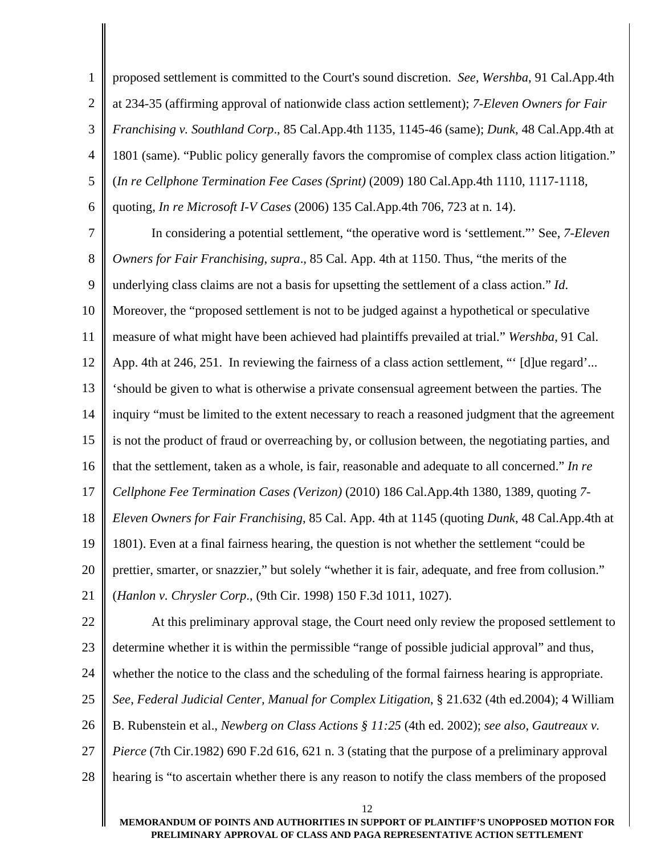1 2 3 4 5 6 proposed settlement is committed to the Court's sound discretion. *See*, *Wershba*, 91 Cal.App.4th at 234-35 (affirming approval of nationwide class action settlement); *7-Eleven Owners for Fair Franchising v. Southland Corp*., 85 Cal.App.4th 1135, 1145-46 (same); *Dunk*, 48 Cal.App.4th at 1801 (same). "Public policy generally favors the compromise of complex class action litigation." (*In re Cellphone Termination Fee Cases (Sprint)* (2009) 180 Cal.App.4th 1110, 1117-1118, quoting, *In re Microsoft I-V Cases* (2006) 135 Cal.App.4th 706, 723 at n. 14).

7 8 9 10 11 12 13 14 15 16 17 18 19 20 21 22 In considering a potential settlement, "the operative word is 'settlement."' See, *7-Eleven Owners for Fair Franchising*, *supra*., 85 Cal. App. 4th at 1150. Thus, "the merits of the underlying class claims are not a basis for upsetting the settlement of a class action." *Id*. Moreover, the "proposed settlement is not to be judged against a hypothetical or speculative measure of what might have been achieved had plaintiffs prevailed at trial." *Wershba*, 91 Cal. App. 4th at 246, 251. In reviewing the fairness of a class action settlement, "' [d]ue regard'... 'should be given to what is otherwise a private consensual agreement between the parties. The inquiry "must be limited to the extent necessary to reach a reasoned judgment that the agreement is not the product of fraud or overreaching by, or collusion between, the negotiating parties, and that the settlement, taken as a whole, is fair, reasonable and adequate to all concerned." *In re Cellphone Fee Termination Cases (Verizon)* (2010) 186 Cal.App.4th 1380, 1389, quoting *7- Eleven Owners for Fair Franchising*, 85 Cal. App. 4th at 1145 (quoting *Dunk*, 48 Cal.App.4th at 1801). Even at a final fairness hearing, the question is not whether the settlement "could be prettier, smarter, or snazzier," but solely "whether it is fair, adequate, and free from collusion." (*Hanlon v. Chrysler Corp*., (9th Cir. 1998) 150 F.3d 1011, 1027). At this preliminary approval stage, the Court need only review the proposed settlement to

23 determine whether it is within the permissible "range of possible judicial approval" and thus,

24 whether the notice to the class and the scheduling of the formal fairness hearing is appropriate.

25 *See*, *Federal Judicial Center, Manual for Complex Litigation*, § 21.632 (4th ed.2004); 4 William

26 B. Rubenstein et al., *Newberg on Class Actions § 11:25* (4th ed. 2002); *see also*, *Gautreaux v.* 

27 *Pierce* (7th Cir.1982) 690 F.2d 616, 621 n. 3 (stating that the purpose of a preliminary approval

28 hearing is "to ascertain whether there is any reason to notify the class members of the proposed

**MEMORANDUM OF POINTS AND AUTHORITIES IN SUPPORT OF PLAINTIFF'S UNOPPOSED MOTION FOR PRELIMINARY APPROVAL OF CLASS AND PAGA REPRESENTATIVE ACTION SETTLEMENT**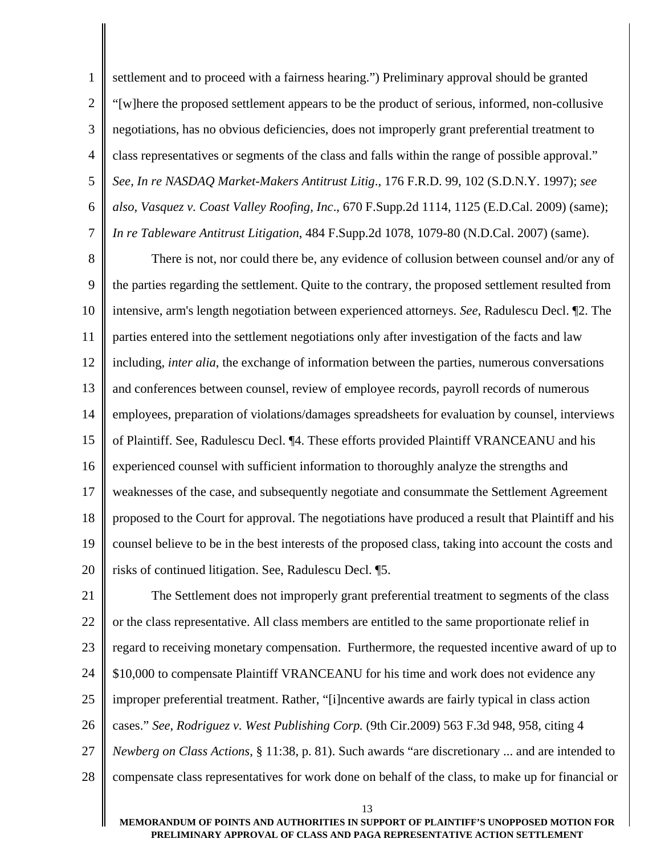1 2 3 4 5 6 7 settlement and to proceed with a fairness hearing.") Preliminary approval should be granted "[w]here the proposed settlement appears to be the product of serious, informed, non-collusive negotiations, has no obvious deficiencies, does not improperly grant preferential treatment to class representatives or segments of the class and falls within the range of possible approval." *See*, *In re NASDAQ Market-Makers Antitrust Litig*., 176 F.R.D. 99, 102 (S.D.N.Y. 1997); *see also*, *Vasquez v. Coast Valley Roofing, Inc*., 670 F.Supp.2d 1114, 1125 (E.D.Cal. 2009) (same); *In re Tableware Antitrust Litigation*, 484 F.Supp.2d 1078, 1079-80 (N.D.Cal. 2007) (same).

8 9 10 11 12 13 14 15 16 17 18 19 20 There is not, nor could there be, any evidence of collusion between counsel and/or any of the parties regarding the settlement. Quite to the contrary, the proposed settlement resulted from intensive, arm's length negotiation between experienced attorneys. *See*, Radulescu Decl. ¶2. The parties entered into the settlement negotiations only after investigation of the facts and law including, *inter alia*, the exchange of information between the parties, numerous conversations and conferences between counsel, review of employee records, payroll records of numerous employees, preparation of violations/damages spreadsheets for evaluation by counsel, interviews of Plaintiff. See, Radulescu Decl. ¶4. These efforts provided Plaintiff VRANCEANU and his experienced counsel with sufficient information to thoroughly analyze the strengths and weaknesses of the case, and subsequently negotiate and consummate the Settlement Agreement proposed to the Court for approval. The negotiations have produced a result that Plaintiff and his counsel believe to be in the best interests of the proposed class, taking into account the costs and risks of continued litigation. See, Radulescu Decl. ¶5.

21 22 23 24 25 26 27 28 The Settlement does not improperly grant preferential treatment to segments of the class or the class representative. All class members are entitled to the same proportionate relief in regard to receiving monetary compensation. Furthermore, the requested incentive award of up to \$10,000 to compensate Plaintiff VRANCEANU for his time and work does not evidence any improper preferential treatment. Rather, "[i]ncentive awards are fairly typical in class action cases." *See*, *Rodriguez v. West Publishing Corp.* (9th Cir.2009) 563 F.3d 948, 958, citing 4 *Newberg on Class Actions*, § 11:38, p. 81). Such awards "are discretionary ... and are intended to compensate class representatives for work done on behalf of the class, to make up for financial or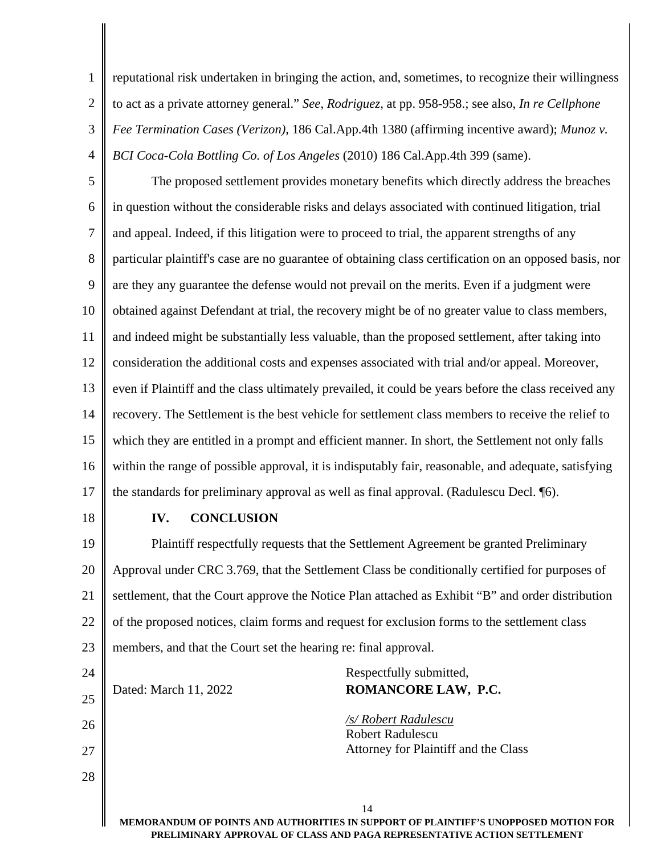reputational risk undertaken in bringing the action, and, sometimes, to recognize their willingness to act as a private attorney general." *See*, *Rodriguez*, at pp. 958-958.; see also, *In re Cellphone Fee Termination Cases (Verizon)*, 186 Cal.App.4th 1380 (affirming incentive award); *Munoz v. BCI Coca-Cola Bottling Co. of Los Angeles* (2010) 186 Cal.App.4th 399 (same).

5 6 7 8 9 10 11 12 13 14 15 16 17 The proposed settlement provides monetary benefits which directly address the breaches in question without the considerable risks and delays associated with continued litigation, trial and appeal. Indeed, if this litigation were to proceed to trial, the apparent strengths of any particular plaintiff's case are no guarantee of obtaining class certification on an opposed basis, nor are they any guarantee the defense would not prevail on the merits. Even if a judgment were obtained against Defendant at trial, the recovery might be of no greater value to class members, and indeed might be substantially less valuable, than the proposed settlement, after taking into consideration the additional costs and expenses associated with trial and/or appeal. Moreover, even if Plaintiff and the class ultimately prevailed, it could be years before the class received any recovery. The Settlement is the best vehicle for settlement class members to receive the relief to which they are entitled in a prompt and efficient manner. In short, the Settlement not only falls within the range of possible approval, it is indisputably fair, reasonable, and adequate, satisfying the standards for preliminary approval as well as final approval. (Radulescu Decl. ¶6).

18

1

2

3

4

## **IV. CONCLUSION**

19 20 21 22 23 Plaintiff respectfully requests that the Settlement Agreement be granted Preliminary Approval under CRC 3.769, that the Settlement Class be conditionally certified for purposes of settlement, that the Court approve the Notice Plan attached as Exhibit "B" and order distribution of the proposed notices, claim forms and request for exclusion forms to the settlement class members, and that the Court set the hearing re: final approval.

| 24 |                       | Respectfully submitted,                                                |
|----|-----------------------|------------------------------------------------------------------------|
| 25 | Dated: March 11, 2022 | ROMANCORE LAW, P.C.                                                    |
| 26 |                       | /s/ Robert Radulescu<br><b>Robert Radulescu</b>                        |
| 27 |                       | Attorney for Plaintiff and the Class                                   |
| 28 |                       |                                                                        |
|    |                       | 14                                                                     |
|    |                       | MEMORANDUM OF POINTS AND AUTHORITIES IN SUPPORT OF PLAINTIFF'S UNOPPO! |